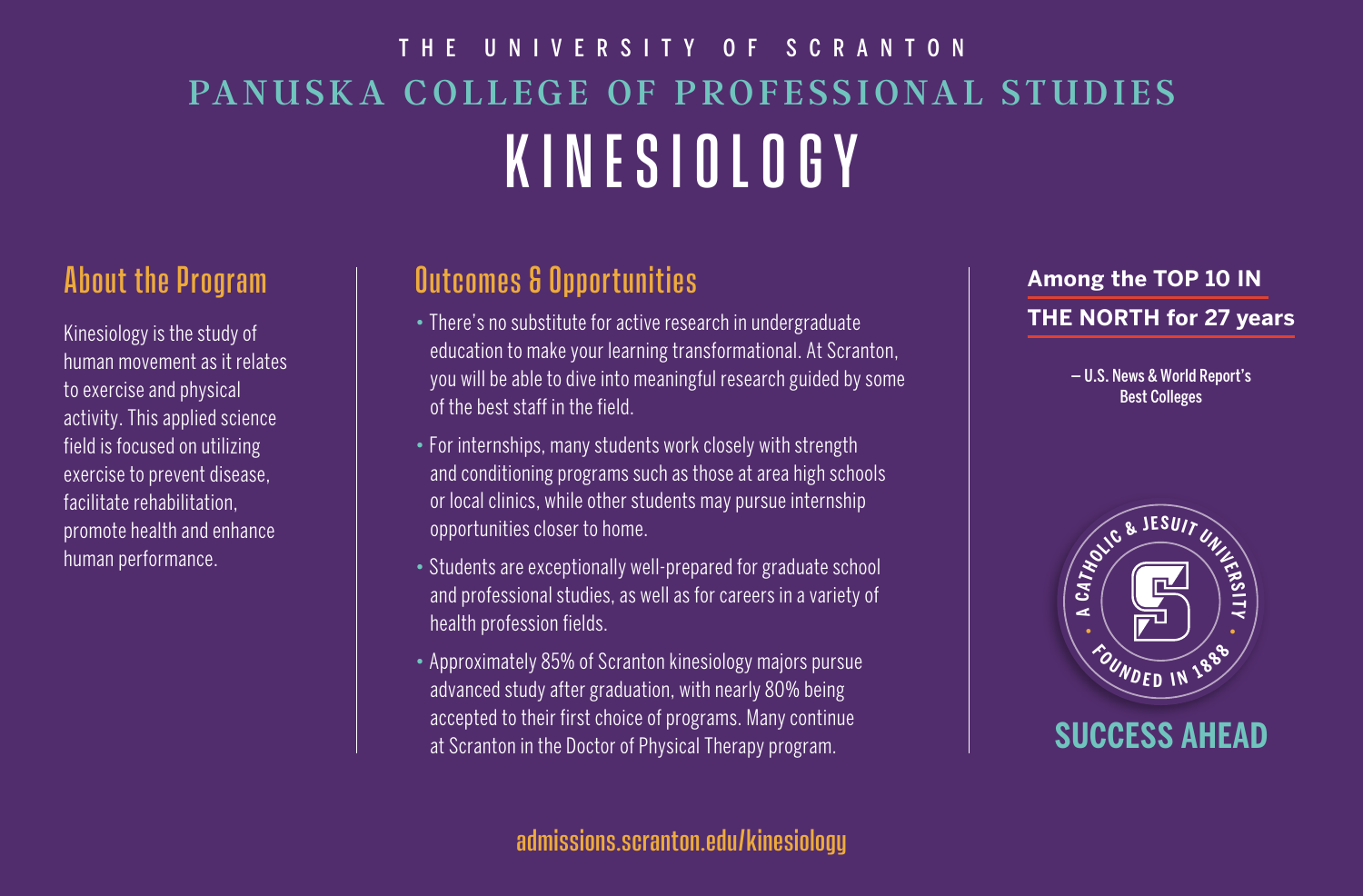# PANUSKA COLLEGE OF PROFESSIONAL STUDIES KINESIOLOGY THE UNIVERSITY OF SCRANTON

## About the Program

Kinesiology is the study of human movement as it relates to exercise and physical activity. This applied science field is focused on utilizing exercise to prevent disease, facilitate rehabilitation, promote health and enhance human performance.

# Outcomes & Opportunities

- There's no substitute for active research in undergraduate education to make your learning transformational. At Scranton, you will be able to dive into meaningful research guided by some of the best staff in the field.
- For internships, many students work closely with strength and conditioning programs such as those at area high schools or local clinics, while other students may pursue internship opportunities closer to home.
- Students are exceptionally well-prepared for graduate school and professional studies, as well as for careers in a variety of health profession fields.
- Approximately 85% of Scranton kinesiology majors pursue advanced study after graduation, with nearly 80% being accepted to their first choice of programs. Many continue at Scranton in the Doctor of Physical Therapy program.

### **Among the TOP 10 IN THE NORTH for 27 years**

— U.S. News & World Report's Best Colleges